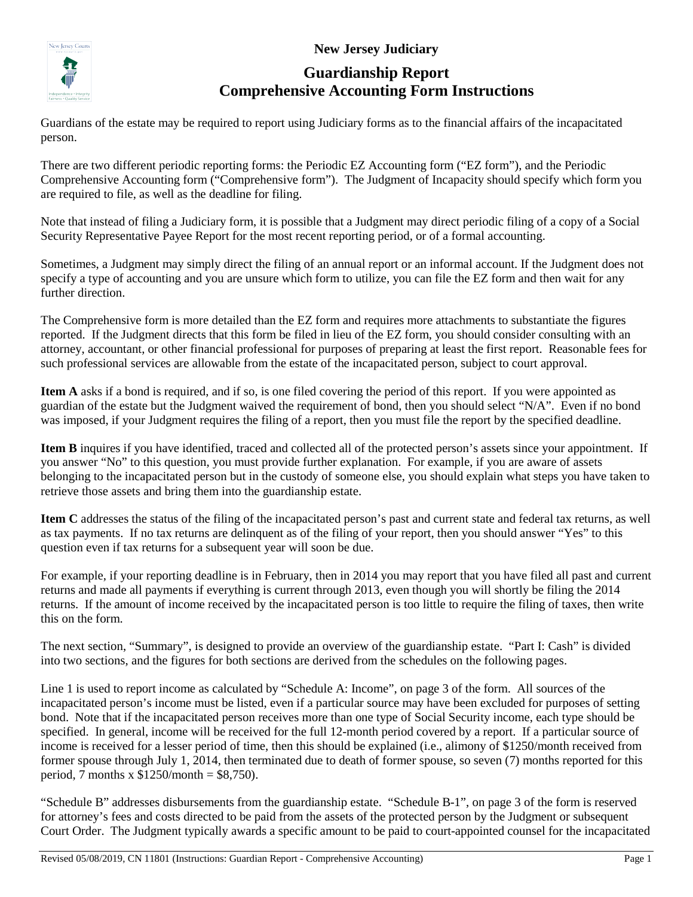**New Jersey Judiciary**



# **Guardianship Report Comprehensive Accounting Form Instructions**

Guardians of the estate may be required to report using Judiciary forms as to the financial affairs of the incapacitated person.

There are two different periodic reporting forms: the Periodic EZ Accounting form ("EZ form"), and the Periodic Comprehensive Accounting form ("Comprehensive form"). The Judgment of Incapacity should specify which form you are required to file, as well as the deadline for filing.

Note that instead of filing a Judiciary form, it is possible that a Judgment may direct periodic filing of a copy of a Social Security Representative Payee Report for the most recent reporting period, or of a formal accounting.

Sometimes, a Judgment may simply direct the filing of an annual report or an informal account. If the Judgment does not specify a type of accounting and you are unsure which form to utilize, you can file the EZ form and then wait for any further direction.

The Comprehensive form is more detailed than the EZ form and requires more attachments to substantiate the figures reported. If the Judgment directs that this form be filed in lieu of the EZ form, you should consider consulting with an attorney, accountant, or other financial professional for purposes of preparing at least the first report. Reasonable fees for such professional services are allowable from the estate of the incapacitated person, subject to court approval.

**Item A** asks if a bond is required, and if so, is one filed covering the period of this report. If you were appointed as guardian of the estate but the Judgment waived the requirement of bond, then you should select "N/A". Even if no bond was imposed, if your Judgment requires the filing of a report, then you must file the report by the specified deadline.

**Item B** inquires if you have identified, traced and collected all of the protected person's assets since your appointment. If you answer "No" to this question, you must provide further explanation. For example, if you are aware of assets belonging to the incapacitated person but in the custody of someone else, you should explain what steps you have taken to retrieve those assets and bring them into the guardianship estate.

**Item C** addresses the status of the filing of the incapacitated person's past and current state and federal tax returns, as well as tax payments. If no tax returns are delinquent as of the filing of your report, then you should answer "Yes" to this question even if tax returns for a subsequent year will soon be due.

For example, if your reporting deadline is in February, then in 2014 you may report that you have filed all past and current returns and made all payments if everything is current through 2013, even though you will shortly be filing the 2014 returns. If the amount of income received by the incapacitated person is too little to require the filing of taxes, then write this on the form.

The next section, "Summary", is designed to provide an overview of the guardianship estate. "Part I: Cash" is divided into two sections, and the figures for both sections are derived from the schedules on the following pages.

Line 1 is used to report income as calculated by "Schedule A: Income", on page 3 of the form. All sources of the incapacitated person's income must be listed, even if a particular source may have been excluded for purposes of setting bond. Note that if the incapacitated person receives more than one type of Social Security income, each type should be specified. In general, income will be received for the full 12-month period covered by a report. If a particular source of income is received for a lesser period of time, then this should be explained (i.e., alimony of \$1250/month received from former spouse through July 1, 2014, then terminated due to death of former spouse, so seven (7) months reported for this period, 7 months x  $$1250/month = $8,750$ .

"Schedule B" addresses disbursements from the guardianship estate. "Schedule B-1", on page 3 of the form is reserved for attorney's fees and costs directed to be paid from the assets of the protected person by the Judgment or subsequent Court Order. The Judgment typically awards a specific amount to be paid to court-appointed counsel for the incapacitated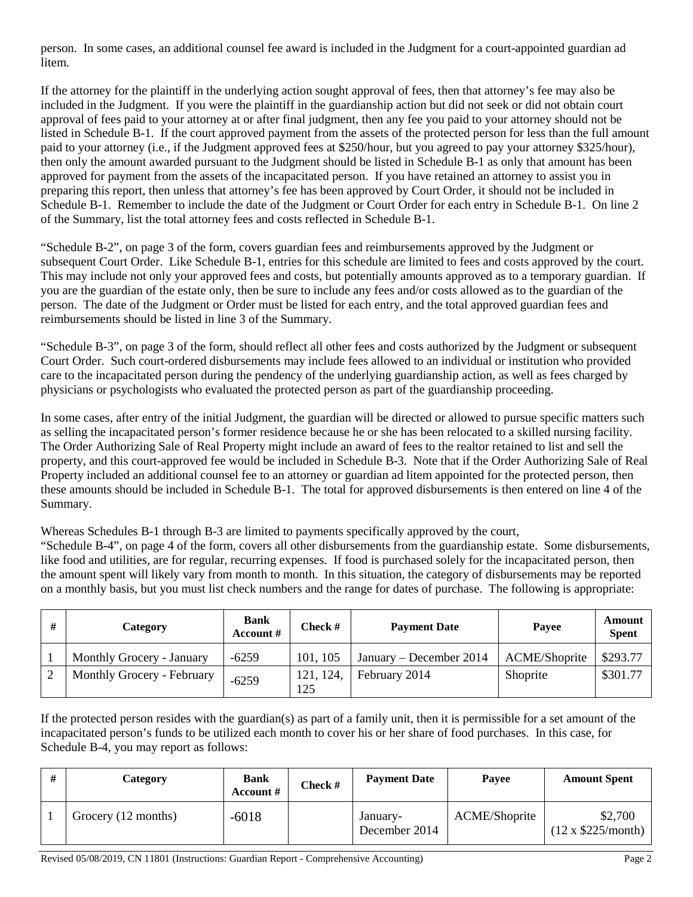person. In some cases, an additional counsel fee award is included in the Judgment for a court-appointed guardian ad litem.

If the attorney for the plaintiff in the underlying action sought approval of fees, then that attorney's fee may also be included in the Judgment. If you were the plaintiff in the guardianship action but did not seek or did not obtain court approval of fees paid to your attorney at or after final judgment, then any fee you paid to your attorney should not be listed in Schedule B-1. If the court approved payment from the assets of the protected person for less than the full amount paid to your attorney (i.e., if the Judgment approved fees at \$250/hour, but you agreed to pay your attorney \$325/hour), then only the amount awarded pursuant to the Judgment should be listed in Schedule B-1 as only that amount has been approved for payment from the assets of the incapacitated person. If you have retained an attorney to assist you in preparing this report, then unless that attorney's fee has been approved by Court Order, it should not be included in Schedule B-1. Remember to include the date of the Judgment or Court Order for each entry in Schedule B-1. On line 2 of the Summary, list the total attorney fees and costs reflected in Schedule B-1.

"Schedule B-2", on page 3 of the form, covers guardian fees and reimbursements approved by the Judgment or subsequent Court Order. Like Schedule B-1, entries for this schedule are limited to fees and costs approved by the court. This may include not only your approved fees and costs, but potentially amounts approved as to a temporary guardian. If you are the guardian of the estate only, then be sure to include any fees and/or costs allowed as to the guardian of the person. The date of the Judgment or Order must be listed for each entry, and the total approved guardian fees and reimbursements should be listed in line 3 of the Summary.

"Schedule B-3", on page 3 of the form, should reflect all other fees and costs authorized by the Judgment or subsequent Court Order. Such court-ordered disbursements may include fees allowed to an individual or institution who provided care to the incapacitated person during the pendency of the underlying guardianship action, as well as fees charged by physicians or psychologists who evaluated the protected person as part of the guardianship proceeding.

In some cases, after entry of the initial Judgment, the guardian will be directed or allowed to pursue specific matters such as selling the incapacitated person's former residence because he or she has been relocated to a skilled nursing facility. The Order Authorizing Sale of Real Property might include an award of fees to the realtor retained to list and sell the property, and this court-approved fee would be included in Schedule B-3. Note that if the Order Authorizing Sale of Real Property included an additional counsel fee to an attorney or guardian ad litem appointed for the protected person, then these amounts should be included in Schedule B-1. The total for approved disbursements is then entered on line 4 of the Summary.

Whereas Schedules B-1 through B-3 are limited to payments specifically approved by the court,

"Schedule B-4", on page 4 of the form, covers all other disbursements from the guardianship estate. Some disbursements, like food and utilities, are for regular, recurring expenses. If food is purchased solely for the incapacitated person, then the amount spent will likely vary from month to month. In this situation, the category of disbursements may be reported on a monthly basis, but you must list check numbers and the range for dates of purchase. The following is appropriate:

| # | Category                   | <b>Bank</b><br>Account # | <b>Check</b> #   | <b>Payment Date</b>     | Payee                | Amount<br><b>Spent</b> |
|---|----------------------------|--------------------------|------------------|-------------------------|----------------------|------------------------|
|   | Monthly Grocery - January  | $-6259$                  | 101, 105         | January – December 2014 | <b>ACME/Shoprite</b> | \$293.77               |
|   | Monthly Grocery - February | $-6259$                  | 121, 124,<br>125 | February 2014           | Shoprite             | \$301.77               |

If the protected person resides with the guardian(s) as part of a family unit, then it is permissible for a set amount of the incapacitated person's funds to be utilized each month to cover his or her share of food purchases. In this case, for Schedule B-4, you may report as follows:

| Category            | <b>Bank</b><br>Account # | $Check \#$ | <b>Payment Date</b>       | Payee         | <b>Amount Spent</b>                 |
|---------------------|--------------------------|------------|---------------------------|---------------|-------------------------------------|
| Grocery (12 months) | $-6018$                  |            | January-<br>December 2014 | ACME/Shoprite | \$2,700<br>$(12 \times $225/month)$ |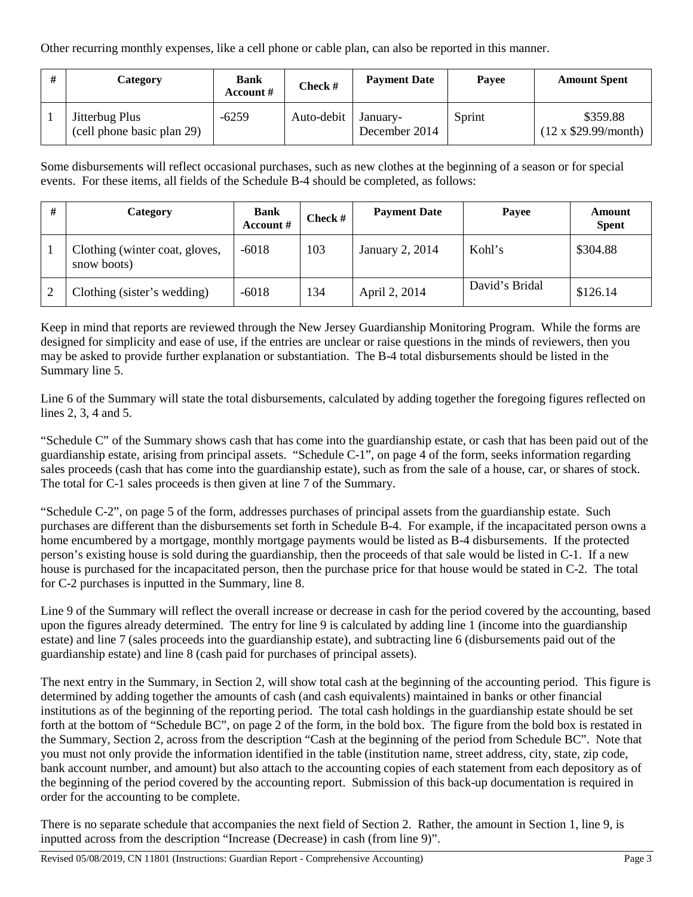Other recurring monthly expenses, like a cell phone or cable plan, can also be reported in this manner.

| # | Category                                     | <b>Bank</b><br>Account # | Check #    | <b>Payment Date</b>       | Payee  | <b>Amount Spent</b>                    |
|---|----------------------------------------------|--------------------------|------------|---------------------------|--------|----------------------------------------|
|   | Jitterbug Plus<br>(cell phone basic plan 29) | $-6259$                  | Auto-debit | January-<br>December 2014 | Sprint | \$359.88<br>$(12 \times $29.99/month)$ |

Some disbursements will reflect occasional purchases, such as new clothes at the beginning of a season or for special events. For these items, all fields of the Schedule B-4 should be completed, as follows:

| # | Category                                      | <b>Bank</b><br>Account # | <b>Check</b> $#$ | <b>Payment Date</b> | Payee          | Amount<br><b>Spent</b> |
|---|-----------------------------------------------|--------------------------|------------------|---------------------|----------------|------------------------|
|   | Clothing (winter coat, gloves,<br>snow boots) | $-6018$                  | 103              | January 2, 2014     | Kohl's         | \$304.88               |
|   | Clothing (sister's wedding)                   | $-6018$                  | 134              | April 2, 2014       | David's Bridal | \$126.14               |

Keep in mind that reports are reviewed through the New Jersey Guardianship Monitoring Program. While the forms are designed for simplicity and ease of use, if the entries are unclear or raise questions in the minds of reviewers, then you may be asked to provide further explanation or substantiation. The B-4 total disbursements should be listed in the Summary line 5.

Line 6 of the Summary will state the total disbursements, calculated by adding together the foregoing figures reflected on lines 2, 3, 4 and 5.

"Schedule C" of the Summary shows cash that has come into the guardianship estate, or cash that has been paid out of the guardianship estate, arising from principal assets. "Schedule C-1", on page 4 of the form, seeks information regarding sales proceeds (cash that has come into the guardianship estate), such as from the sale of a house, car, or shares of stock. The total for C-1 sales proceeds is then given at line 7 of the Summary.

"Schedule C-2", on page 5 of the form, addresses purchases of principal assets from the guardianship estate. Such purchases are different than the disbursements set forth in Schedule B-4. For example, if the incapacitated person owns a home encumbered by a mortgage, monthly mortgage payments would be listed as B-4 disbursements. If the protected person's existing house is sold during the guardianship, then the proceeds of that sale would be listed in C-1. If a new house is purchased for the incapacitated person, then the purchase price for that house would be stated in C-2. The total for C-2 purchases is inputted in the Summary, line 8.

Line 9 of the Summary will reflect the overall increase or decrease in cash for the period covered by the accounting, based upon the figures already determined. The entry for line 9 is calculated by adding line 1 (income into the guardianship estate) and line 7 (sales proceeds into the guardianship estate), and subtracting line 6 (disbursements paid out of the guardianship estate) and line 8 (cash paid for purchases of principal assets).

The next entry in the Summary, in Section 2, will show total cash at the beginning of the accounting period. This figure is determined by adding together the amounts of cash (and cash equivalents) maintained in banks or other financial institutions as of the beginning of the reporting period. The total cash holdings in the guardianship estate should be set forth at the bottom of "Schedule BC", on page 2 of the form, in the bold box. The figure from the bold box is restated in the Summary, Section 2, across from the description "Cash at the beginning of the period from Schedule BC". Note that you must not only provide the information identified in the table (institution name, street address, city, state, zip code, bank account number, and amount) but also attach to the accounting copies of each statement from each depository as of the beginning of the period covered by the accounting report. Submission of this back-up documentation is required in order for the accounting to be complete.

There is no separate schedule that accompanies the next field of Section 2. Rather, the amount in Section 1, line 9, is inputted across from the description "Increase (Decrease) in cash (from line 9)".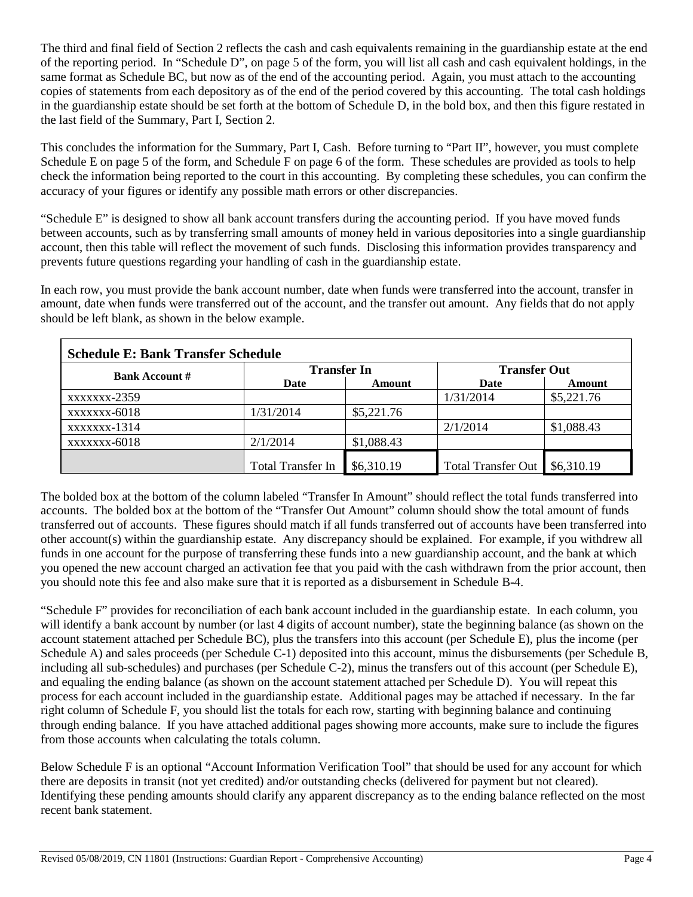The third and final field of Section 2 reflects the cash and cash equivalents remaining in the guardianship estate at the end of the reporting period. In "Schedule D", on page 5 of the form, you will list all cash and cash equivalent holdings, in the same format as Schedule BC, but now as of the end of the accounting period. Again, you must attach to the accounting copies of statements from each depository as of the end of the period covered by this accounting. The total cash holdings in the guardianship estate should be set forth at the bottom of Schedule D, in the bold box, and then this figure restated in the last field of the Summary, Part I, Section 2.

This concludes the information for the Summary, Part I, Cash. Before turning to "Part II", however, you must complete Schedule E on page 5 of the form, and Schedule F on page 6 of the form. These schedules are provided as tools to help check the information being reported to the court in this accounting. By completing these schedules, you can confirm the accuracy of your figures or identify any possible math errors or other discrepancies.

"Schedule E" is designed to show all bank account transfers during the accounting period. If you have moved funds between accounts, such as by transferring small amounts of money held in various depositories into a single guardianship account, then this table will reflect the movement of such funds. Disclosing this information provides transparency and prevents future questions regarding your handling of cash in the guardianship estate.

In each row, you must provide the bank account number, date when funds were transferred into the account, transfer in amount, date when funds were transferred out of the account, and the transfer out amount. Any fields that do not apply should be left blank, as shown in the below example.

| <b>Schedule E: Bank Transfer Schedule</b> |                          |            |                           |            |  |  |  |  |
|-------------------------------------------|--------------------------|------------|---------------------------|------------|--|--|--|--|
| <b>Bank Account #</b>                     | <b>Transfer In</b>       |            | <b>Transfer Out</b>       |            |  |  |  |  |
|                                           | Date                     | Amount     | Date                      | Amount     |  |  |  |  |
| xxxxxxx-2359                              |                          |            | 1/31/2014                 | \$5,221.76 |  |  |  |  |
| xxxxxxx-6018                              | 1/31/2014                | \$5,221.76 |                           |            |  |  |  |  |
| xxxxxxx-1314                              |                          |            | 2/1/2014                  | \$1,088.43 |  |  |  |  |
| xxxxxxx-6018                              | 2/1/2014                 | \$1,088.43 |                           |            |  |  |  |  |
|                                           | <b>Total Transfer In</b> | \$6,310.19 | <b>Total Transfer Out</b> | \$6,310.19 |  |  |  |  |

The bolded box at the bottom of the column labeled "Transfer In Amount" should reflect the total funds transferred into accounts. The bolded box at the bottom of the "Transfer Out Amount" column should show the total amount of funds transferred out of accounts. These figures should match if all funds transferred out of accounts have been transferred into other account(s) within the guardianship estate. Any discrepancy should be explained. For example, if you withdrew all funds in one account for the purpose of transferring these funds into a new guardianship account, and the bank at which you opened the new account charged an activation fee that you paid with the cash withdrawn from the prior account, then you should note this fee and also make sure that it is reported as a disbursement in Schedule B-4.

"Schedule F" provides for reconciliation of each bank account included in the guardianship estate. In each column, you will identify a bank account by number (or last 4 digits of account number), state the beginning balance (as shown on the account statement attached per Schedule BC), plus the transfers into this account (per Schedule E), plus the income (per Schedule A) and sales proceeds (per Schedule C-1) deposited into this account, minus the disbursements (per Schedule B, including all sub-schedules) and purchases (per Schedule C-2), minus the transfers out of this account (per Schedule E), and equaling the ending balance (as shown on the account statement attached per Schedule D). You will repeat this process for each account included in the guardianship estate. Additional pages may be attached if necessary. In the far right column of Schedule F, you should list the totals for each row, starting with beginning balance and continuing through ending balance. If you have attached additional pages showing more accounts, make sure to include the figures from those accounts when calculating the totals column.

Below Schedule F is an optional "Account Information Verification Tool" that should be used for any account for which there are deposits in transit (not yet credited) and/or outstanding checks (delivered for payment but not cleared). Identifying these pending amounts should clarify any apparent discrepancy as to the ending balance reflected on the most recent bank statement.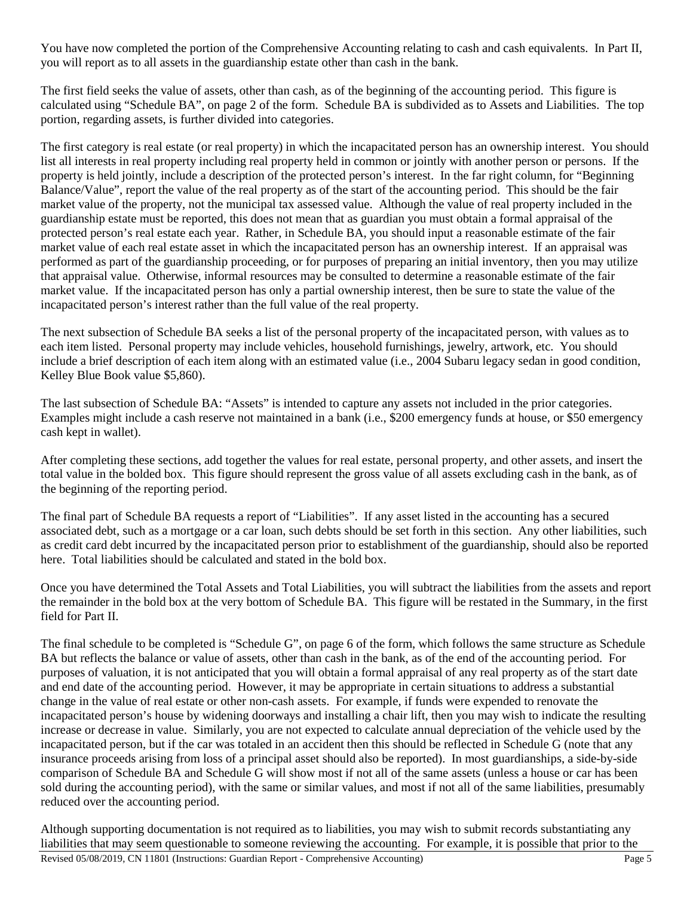You have now completed the portion of the Comprehensive Accounting relating to cash and cash equivalents. In Part II, you will report as to all assets in the guardianship estate other than cash in the bank.

The first field seeks the value of assets, other than cash, as of the beginning of the accounting period. This figure is calculated using "Schedule BA", on page 2 of the form. Schedule BA is subdivided as to Assets and Liabilities. The top portion, regarding assets, is further divided into categories.

The first category is real estate (or real property) in which the incapacitated person has an ownership interest. You should list all interests in real property including real property held in common or jointly with another person or persons. If the property is held jointly, include a description of the protected person's interest. In the far right column, for "Beginning Balance/Value", report the value of the real property as of the start of the accounting period. This should be the fair market value of the property, not the municipal tax assessed value. Although the value of real property included in the guardianship estate must be reported, this does not mean that as guardian you must obtain a formal appraisal of the protected person's real estate each year. Rather, in Schedule BA, you should input a reasonable estimate of the fair market value of each real estate asset in which the incapacitated person has an ownership interest. If an appraisal was performed as part of the guardianship proceeding, or for purposes of preparing an initial inventory, then you may utilize that appraisal value. Otherwise, informal resources may be consulted to determine a reasonable estimate of the fair market value. If the incapacitated person has only a partial ownership interest, then be sure to state the value of the incapacitated person's interest rather than the full value of the real property.

The next subsection of Schedule BA seeks a list of the personal property of the incapacitated person, with values as to each item listed. Personal property may include vehicles, household furnishings, jewelry, artwork, etc. You should include a brief description of each item along with an estimated value (i.e., 2004 Subaru legacy sedan in good condition, Kelley Blue Book value \$5,860).

The last subsection of Schedule BA: "Assets" is intended to capture any assets not included in the prior categories. Examples might include a cash reserve not maintained in a bank (i.e., \$200 emergency funds at house, or \$50 emergency cash kept in wallet).

After completing these sections, add together the values for real estate, personal property, and other assets, and insert the total value in the bolded box. This figure should represent the gross value of all assets excluding cash in the bank, as of the beginning of the reporting period.

The final part of Schedule BA requests a report of "Liabilities". If any asset listed in the accounting has a secured associated debt, such as a mortgage or a car loan, such debts should be set forth in this section. Any other liabilities, such as credit card debt incurred by the incapacitated person prior to establishment of the guardianship, should also be reported here. Total liabilities should be calculated and stated in the bold box.

Once you have determined the Total Assets and Total Liabilities, you will subtract the liabilities from the assets and report the remainder in the bold box at the very bottom of Schedule BA. This figure will be restated in the Summary, in the first field for Part II.

The final schedule to be completed is "Schedule G", on page 6 of the form, which follows the same structure as Schedule BA but reflects the balance or value of assets, other than cash in the bank, as of the end of the accounting period. For purposes of valuation, it is not anticipated that you will obtain a formal appraisal of any real property as of the start date and end date of the accounting period. However, it may be appropriate in certain situations to address a substantial change in the value of real estate or other non-cash assets. For example, if funds were expended to renovate the incapacitated person's house by widening doorways and installing a chair lift, then you may wish to indicate the resulting increase or decrease in value. Similarly, you are not expected to calculate annual depreciation of the vehicle used by the incapacitated person, but if the car was totaled in an accident then this should be reflected in Schedule G (note that any insurance proceeds arising from loss of a principal asset should also be reported). In most guardianships, a side-by-side comparison of Schedule BA and Schedule G will show most if not all of the same assets (unless a house or car has been sold during the accounting period), with the same or similar values, and most if not all of the same liabilities, presumably reduced over the accounting period.

Although supporting documentation is not required as to liabilities, you may wish to submit records substantiating any liabilities that may seem questionable to someone reviewing the accounting. For example, it is possible that prior to the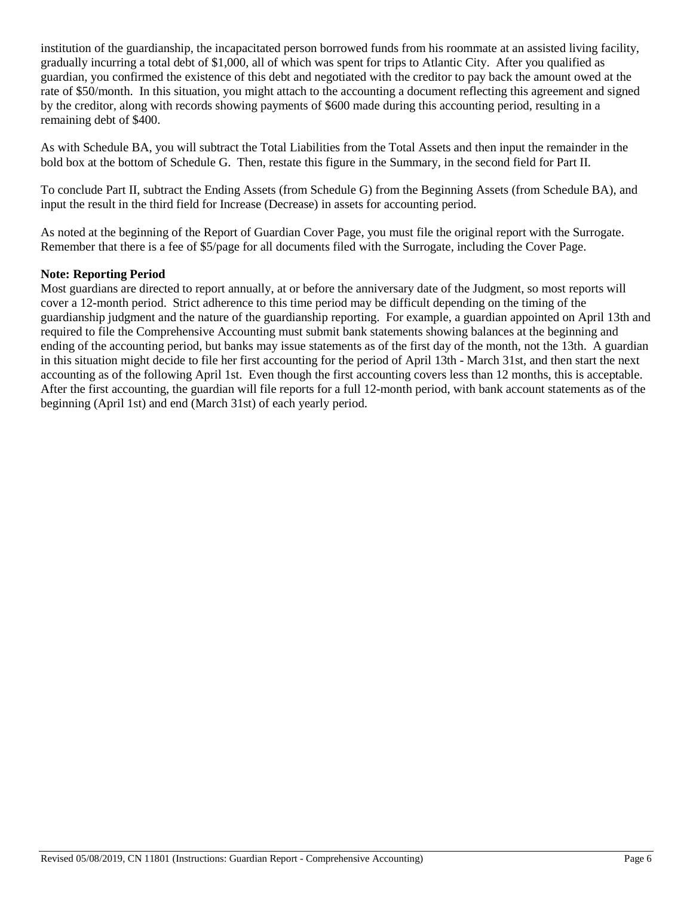institution of the guardianship, the incapacitated person borrowed funds from his roommate at an assisted living facility, gradually incurring a total debt of \$1,000, all of which was spent for trips to Atlantic City. After you qualified as guardian, you confirmed the existence of this debt and negotiated with the creditor to pay back the amount owed at the rate of \$50/month. In this situation, you might attach to the accounting a document reflecting this agreement and signed by the creditor, along with records showing payments of \$600 made during this accounting period, resulting in a remaining debt of \$400.

As with Schedule BA, you will subtract the Total Liabilities from the Total Assets and then input the remainder in the bold box at the bottom of Schedule G. Then, restate this figure in the Summary, in the second field for Part II.

To conclude Part II, subtract the Ending Assets (from Schedule G) from the Beginning Assets (from Schedule BA), and input the result in the third field for Increase (Decrease) in assets for accounting period.

As noted at the beginning of the Report of Guardian Cover Page, you must file the original report with the Surrogate. Remember that there is a fee of \$5/page for all documents filed with the Surrogate, including the Cover Page.

#### **Note: Reporting Period**

Most guardians are directed to report annually, at or before the anniversary date of the Judgment, so most reports will cover a 12-month period. Strict adherence to this time period may be difficult depending on the timing of the guardianship judgment and the nature of the guardianship reporting. For example, a guardian appointed on April 13th and required to file the Comprehensive Accounting must submit bank statements showing balances at the beginning and ending of the accounting period, but banks may issue statements as of the first day of the month, not the 13th. A guardian in this situation might decide to file her first accounting for the period of April 13th - March 31st, and then start the next accounting as of the following April 1st. Even though the first accounting covers less than 12 months, this is acceptable. After the first accounting, the guardian will file reports for a full 12-month period, with bank account statements as of the beginning (April 1st) and end (March 31st) of each yearly period.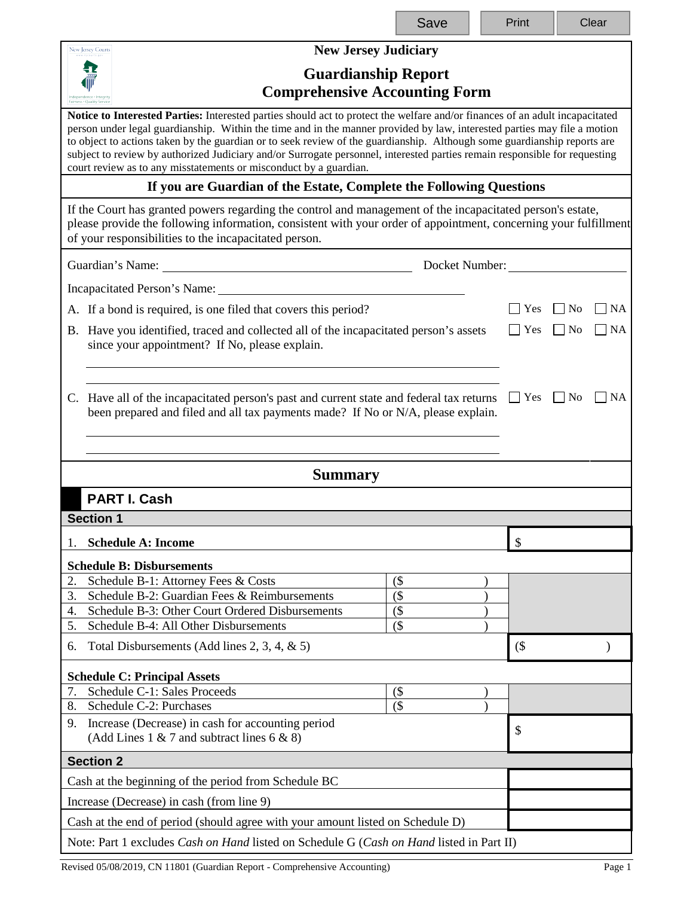|                                                                                                                                                                                                                                                                                         | Save                                                                                                                                                                                                                                                                                                                                                                                                                                                                                                               | Print   | Clear                       |  |  |  |  |
|-----------------------------------------------------------------------------------------------------------------------------------------------------------------------------------------------------------------------------------------------------------------------------------------|--------------------------------------------------------------------------------------------------------------------------------------------------------------------------------------------------------------------------------------------------------------------------------------------------------------------------------------------------------------------------------------------------------------------------------------------------------------------------------------------------------------------|---------|-----------------------------|--|--|--|--|
| <b>New Jersey Judiciary</b><br><b>New Jersey Courts</b>                                                                                                                                                                                                                                 |                                                                                                                                                                                                                                                                                                                                                                                                                                                                                                                    |         |                             |  |  |  |  |
| <b>Guardianship Report</b><br><b>Comprehensive Accounting Form</b>                                                                                                                                                                                                                      |                                                                                                                                                                                                                                                                                                                                                                                                                                                                                                                    |         |                             |  |  |  |  |
| court review as to any misstatements or misconduct by a guardian.                                                                                                                                                                                                                       | Notice to Interested Parties: Interested parties should act to protect the welfare and/or finances of an adult incapacitated<br>person under legal guardianship. Within the time and in the manner provided by law, interested parties may file a motion<br>to object to actions taken by the guardian or to seek review of the guardianship. Although some guardianship reports are<br>subject to review by authorized Judiciary and/or Surrogate personnel, interested parties remain responsible for requesting |         |                             |  |  |  |  |
| If you are Guardian of the Estate, Complete the Following Questions                                                                                                                                                                                                                     |                                                                                                                                                                                                                                                                                                                                                                                                                                                                                                                    |         |                             |  |  |  |  |
| If the Court has granted powers regarding the control and management of the incapacitated person's estate,<br>please provide the following information, consistent with your order of appointment, concerning your fulfillment<br>of your responsibilities to the incapacitated person. |                                                                                                                                                                                                                                                                                                                                                                                                                                                                                                                    |         |                             |  |  |  |  |
|                                                                                                                                                                                                                                                                                         | Docket Number:                                                                                                                                                                                                                                                                                                                                                                                                                                                                                                     |         |                             |  |  |  |  |
| Incapacitated Person's Name:                                                                                                                                                                                                                                                            |                                                                                                                                                                                                                                                                                                                                                                                                                                                                                                                    |         |                             |  |  |  |  |
| A. If a bond is required, is one filed that covers this period?                                                                                                                                                                                                                         |                                                                                                                                                                                                                                                                                                                                                                                                                                                                                                                    | Yes     | <b>NA</b><br>$\Box$ No      |  |  |  |  |
| B. Have you identified, traced and collected all of the incapacitated person's assets<br>since your appointment? If No, please explain.                                                                                                                                                 |                                                                                                                                                                                                                                                                                                                                                                                                                                                                                                                    | Yes     | <b>NA</b><br>N <sub>0</sub> |  |  |  |  |
|                                                                                                                                                                                                                                                                                         | C. Have all of the incapacitated person's past and current state and federal tax returns<br>been prepared and filed and all tax payments made? If No or N/A, please explain.                                                                                                                                                                                                                                                                                                                                       |         |                             |  |  |  |  |
| <b>Summary</b>                                                                                                                                                                                                                                                                          |                                                                                                                                                                                                                                                                                                                                                                                                                                                                                                                    |         |                             |  |  |  |  |
| <b>PART I. Cash</b>                                                                                                                                                                                                                                                                     |                                                                                                                                                                                                                                                                                                                                                                                                                                                                                                                    |         |                             |  |  |  |  |
| <b>Section 1</b>                                                                                                                                                                                                                                                                        |                                                                                                                                                                                                                                                                                                                                                                                                                                                                                                                    |         |                             |  |  |  |  |
| <b>Schedule A: Income</b><br>1.                                                                                                                                                                                                                                                         |                                                                                                                                                                                                                                                                                                                                                                                                                                                                                                                    | $\sqrt$ |                             |  |  |  |  |
| <b>Schedule B: Disbursements</b>                                                                                                                                                                                                                                                        |                                                                                                                                                                                                                                                                                                                                                                                                                                                                                                                    |         |                             |  |  |  |  |
| Schedule B-1: Attorney Fees & Costs<br>2.                                                                                                                                                                                                                                               | $($ \$                                                                                                                                                                                                                                                                                                                                                                                                                                                                                                             |         |                             |  |  |  |  |
| Schedule B-2: Guardian Fees & Reimbursements<br>3.                                                                                                                                                                                                                                      | $($ \$                                                                                                                                                                                                                                                                                                                                                                                                                                                                                                             |         |                             |  |  |  |  |
| Schedule B-3: Other Court Ordered Disbursements<br>4.<br>Schedule B-4: All Other Disbursements<br>5.                                                                                                                                                                                    | $($ \$<br>$($ \$                                                                                                                                                                                                                                                                                                                                                                                                                                                                                                   |         |                             |  |  |  |  |
| Total Disbursements (Add lines 2, 3, 4, $\&$ 5)<br>6.                                                                                                                                                                                                                                   |                                                                                                                                                                                                                                                                                                                                                                                                                                                                                                                    | $($ \$  |                             |  |  |  |  |
|                                                                                                                                                                                                                                                                                         |                                                                                                                                                                                                                                                                                                                                                                                                                                                                                                                    |         |                             |  |  |  |  |
| <b>Schedule C: Principal Assets</b><br>Schedule C-1: Sales Proceeds<br>7.                                                                                                                                                                                                               | $($ \$                                                                                                                                                                                                                                                                                                                                                                                                                                                                                                             |         |                             |  |  |  |  |
| Schedule C-2: Purchases<br>8.                                                                                                                                                                                                                                                           | $($ \$                                                                                                                                                                                                                                                                                                                                                                                                                                                                                                             |         |                             |  |  |  |  |
| 9. Increase (Decrease) in cash for accounting period<br>\$<br>(Add Lines 1 & 7 and subtract lines 6 & 8)                                                                                                                                                                                |                                                                                                                                                                                                                                                                                                                                                                                                                                                                                                                    |         |                             |  |  |  |  |
| <b>Section 2</b>                                                                                                                                                                                                                                                                        |                                                                                                                                                                                                                                                                                                                                                                                                                                                                                                                    |         |                             |  |  |  |  |
| Cash at the beginning of the period from Schedule BC                                                                                                                                                                                                                                    |                                                                                                                                                                                                                                                                                                                                                                                                                                                                                                                    |         |                             |  |  |  |  |
| Increase (Decrease) in cash (from line 9)                                                                                                                                                                                                                                               |                                                                                                                                                                                                                                                                                                                                                                                                                                                                                                                    |         |                             |  |  |  |  |
| Cash at the end of period (should agree with your amount listed on Schedule D)                                                                                                                                                                                                          |                                                                                                                                                                                                                                                                                                                                                                                                                                                                                                                    |         |                             |  |  |  |  |
| Note: Part 1 excludes Cash on Hand listed on Schedule G (Cash on Hand listed in Part II)                                                                                                                                                                                                |                                                                                                                                                                                                                                                                                                                                                                                                                                                                                                                    |         |                             |  |  |  |  |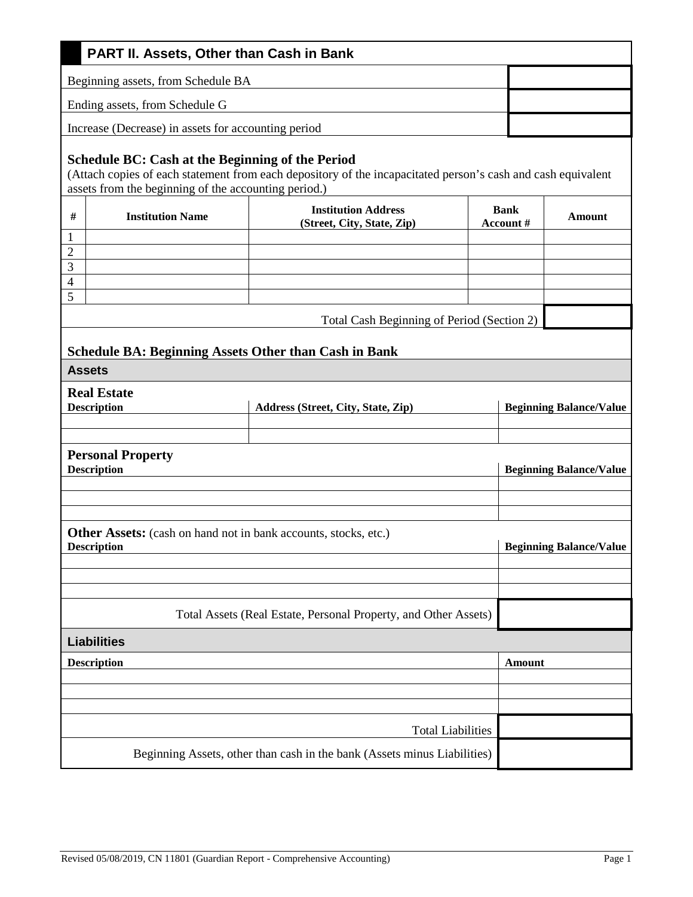| PART II. Assets, Other than Cash in Bank                                              |                                                                                                                                                                                                                                 |                          |                                |                                |  |  |  |  |
|---------------------------------------------------------------------------------------|---------------------------------------------------------------------------------------------------------------------------------------------------------------------------------------------------------------------------------|--------------------------|--------------------------------|--------------------------------|--|--|--|--|
| Beginning assets, from Schedule BA                                                    |                                                                                                                                                                                                                                 |                          |                                |                                |  |  |  |  |
| Ending assets, from Schedule G                                                        |                                                                                                                                                                                                                                 |                          |                                |                                |  |  |  |  |
| Increase (Decrease) in assets for accounting period                                   |                                                                                                                                                                                                                                 |                          |                                |                                |  |  |  |  |
|                                                                                       | <b>Schedule BC: Cash at the Beginning of the Period</b><br>(Attach copies of each statement from each depository of the incapacitated person's cash and cash equivalent<br>assets from the beginning of the accounting period.) |                          |                                |                                |  |  |  |  |
| $\#$<br><b>Institution Name</b>                                                       | <b>Institution Address</b><br>(Street, City, State, Zip)                                                                                                                                                                        | <b>Bank</b><br>Account # |                                | Amount                         |  |  |  |  |
| $\mathbf{1}$                                                                          |                                                                                                                                                                                                                                 |                          |                                |                                |  |  |  |  |
| $\overline{c}$<br>$\overline{3}$                                                      |                                                                                                                                                                                                                                 |                          |                                |                                |  |  |  |  |
| $\overline{\mathcal{A}}$                                                              |                                                                                                                                                                                                                                 |                          |                                |                                |  |  |  |  |
| $\overline{5}$                                                                        |                                                                                                                                                                                                                                 |                          |                                |                                |  |  |  |  |
|                                                                                       | Total Cash Beginning of Period (Section 2)                                                                                                                                                                                      |                          |                                |                                |  |  |  |  |
|                                                                                       |                                                                                                                                                                                                                                 |                          |                                |                                |  |  |  |  |
| <b>Schedule BA: Beginning Assets Other than Cash in Bank</b>                          |                                                                                                                                                                                                                                 |                          |                                |                                |  |  |  |  |
| <b>Assets</b>                                                                         |                                                                                                                                                                                                                                 |                          |                                |                                |  |  |  |  |
| <b>Real Estate</b><br><b>Description</b>                                              | Address (Street, City, State, Zip)                                                                                                                                                                                              |                          | <b>Beginning Balance/Value</b> |                                |  |  |  |  |
|                                                                                       |                                                                                                                                                                                                                                 |                          |                                |                                |  |  |  |  |
|                                                                                       |                                                                                                                                                                                                                                 |                          |                                |                                |  |  |  |  |
| <b>Personal Property</b><br><b>Description</b>                                        |                                                                                                                                                                                                                                 |                          | <b>Beginning Balance/Value</b> |                                |  |  |  |  |
|                                                                                       |                                                                                                                                                                                                                                 |                          |                                |                                |  |  |  |  |
|                                                                                       |                                                                                                                                                                                                                                 |                          |                                |                                |  |  |  |  |
| Other Assets: (cash on hand not in bank accounts, stocks, etc.)<br><b>Description</b> |                                                                                                                                                                                                                                 |                          |                                | <b>Beginning Balance/Value</b> |  |  |  |  |
|                                                                                       |                                                                                                                                                                                                                                 |                          |                                |                                |  |  |  |  |
|                                                                                       |                                                                                                                                                                                                                                 |                          |                                |                                |  |  |  |  |
|                                                                                       | Total Assets (Real Estate, Personal Property, and Other Assets)                                                                                                                                                                 |                          |                                |                                |  |  |  |  |
| <b>Liabilities</b>                                                                    |                                                                                                                                                                                                                                 |                          |                                |                                |  |  |  |  |
| <b>Description</b>                                                                    |                                                                                                                                                                                                                                 | <b>Amount</b>            |                                |                                |  |  |  |  |
|                                                                                       |                                                                                                                                                                                                                                 |                          |                                |                                |  |  |  |  |
|                                                                                       |                                                                                                                                                                                                                                 |                          |                                |                                |  |  |  |  |
|                                                                                       |                                                                                                                                                                                                                                 |                          |                                |                                |  |  |  |  |
|                                                                                       | <b>Total Liabilities</b>                                                                                                                                                                                                        |                          |                                |                                |  |  |  |  |
|                                                                                       | Beginning Assets, other than cash in the bank (Assets minus Liabilities)                                                                                                                                                        |                          |                                |                                |  |  |  |  |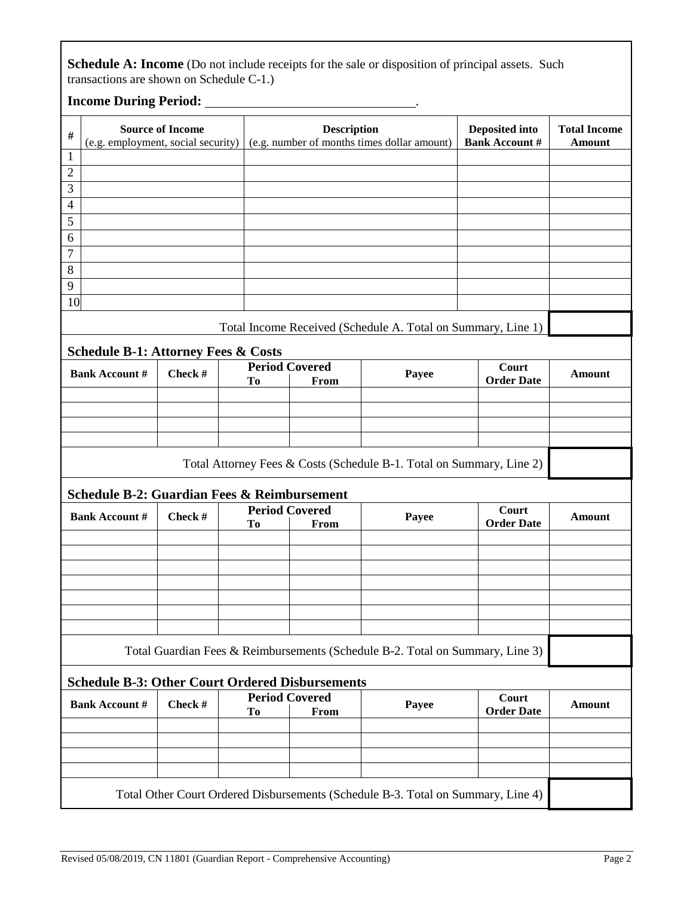Schedule A: Income (Do not include receipts for the sale or disposition of principal assets. Such transactions are shown on Schedule C-1.)

## **Income During Period:** <u>**. 2008 CONDITIONS**</u> *.* **2019.**

| $\#$                                                                             | <b>Source of Income</b> |                       | <b>Description</b>                                                                                              |                                                                               | Deposited into    | <b>Total Income</b> |  |
|----------------------------------------------------------------------------------|-------------------------|-----------------------|-----------------------------------------------------------------------------------------------------------------|-------------------------------------------------------------------------------|-------------------|---------------------|--|
|                                                                                  |                         |                       | <b>Bank Account #</b><br>(e.g. employment, social security) $\vert$ (e.g. number of months times dollar amount) |                                                                               |                   | <b>Amount</b>       |  |
| $\mathbf{1}$                                                                     |                         |                       |                                                                                                                 |                                                                               |                   |                     |  |
| $\overline{2}$                                                                   |                         |                       |                                                                                                                 |                                                                               |                   |                     |  |
| 3                                                                                |                         |                       |                                                                                                                 |                                                                               |                   |                     |  |
| $\overline{4}$                                                                   |                         |                       |                                                                                                                 |                                                                               |                   |                     |  |
| $\overline{5}$                                                                   |                         |                       |                                                                                                                 |                                                                               |                   |                     |  |
| 6                                                                                |                         |                       |                                                                                                                 |                                                                               |                   |                     |  |
| $\tau$                                                                           |                         |                       |                                                                                                                 |                                                                               |                   |                     |  |
| 8                                                                                |                         |                       |                                                                                                                 |                                                                               |                   |                     |  |
| 9                                                                                |                         |                       |                                                                                                                 |                                                                               |                   |                     |  |
| 10                                                                               |                         |                       |                                                                                                                 |                                                                               |                   |                     |  |
|                                                                                  |                         |                       |                                                                                                                 | Total Income Received (Schedule A. Total on Summary, Line 1)                  |                   |                     |  |
| <b>Schedule B-1: Attorney Fees &amp; Costs</b>                                   |                         |                       |                                                                                                                 |                                                                               |                   |                     |  |
| <b>Bank Account #</b>                                                            | Check #                 | <b>Period Covered</b> |                                                                                                                 |                                                                               | Court             |                     |  |
|                                                                                  |                         | To                    | From                                                                                                            | Payee                                                                         | <b>Order Date</b> | <b>Amount</b>       |  |
|                                                                                  |                         |                       |                                                                                                                 |                                                                               |                   |                     |  |
|                                                                                  |                         |                       |                                                                                                                 |                                                                               |                   |                     |  |
|                                                                                  |                         |                       |                                                                                                                 |                                                                               |                   |                     |  |
|                                                                                  |                         |                       |                                                                                                                 |                                                                               |                   |                     |  |
|                                                                                  |                         |                       |                                                                                                                 | Total Attorney Fees & Costs (Schedule B-1. Total on Summary, Line 2)          |                   |                     |  |
| <b>Schedule B-2: Guardian Fees &amp; Reimbursement</b>                           |                         |                       |                                                                                                                 |                                                                               |                   |                     |  |
|                                                                                  |                         | <b>Period Covered</b> |                                                                                                                 |                                                                               | Court             |                     |  |
| <b>Bank Account #</b>                                                            | Check #                 | To                    | From                                                                                                            | Payee                                                                         | <b>Order Date</b> | <b>Amount</b>       |  |
|                                                                                  |                         |                       |                                                                                                                 |                                                                               |                   |                     |  |
|                                                                                  |                         |                       |                                                                                                                 |                                                                               |                   |                     |  |
|                                                                                  |                         |                       |                                                                                                                 |                                                                               |                   |                     |  |
|                                                                                  |                         |                       |                                                                                                                 |                                                                               |                   |                     |  |
|                                                                                  |                         |                       |                                                                                                                 |                                                                               |                   |                     |  |
|                                                                                  |                         |                       |                                                                                                                 |                                                                               |                   |                     |  |
|                                                                                  |                         |                       |                                                                                                                 |                                                                               |                   |                     |  |
|                                                                                  |                         |                       |                                                                                                                 | Total Guardian Fees & Reimbursements (Schedule B-2. Total on Summary, Line 3) |                   |                     |  |
| <b>Schedule B-3: Other Court Ordered Disbursements</b>                           |                         |                       |                                                                                                                 |                                                                               |                   |                     |  |
| <b>Bank Account #</b>                                                            | Check #                 |                       | <b>Period Covered</b>                                                                                           | Payee                                                                         | Court             | <b>Amount</b>       |  |
|                                                                                  |                         | To                    | From                                                                                                            |                                                                               | <b>Order Date</b> |                     |  |
|                                                                                  |                         |                       |                                                                                                                 |                                                                               |                   |                     |  |
|                                                                                  |                         |                       |                                                                                                                 |                                                                               |                   |                     |  |
|                                                                                  |                         |                       |                                                                                                                 |                                                                               |                   |                     |  |
|                                                                                  |                         |                       |                                                                                                                 |                                                                               |                   |                     |  |
| Total Other Court Ordered Disbursements (Schedule B-3. Total on Summary, Line 4) |                         |                       |                                                                                                                 |                                                                               |                   |                     |  |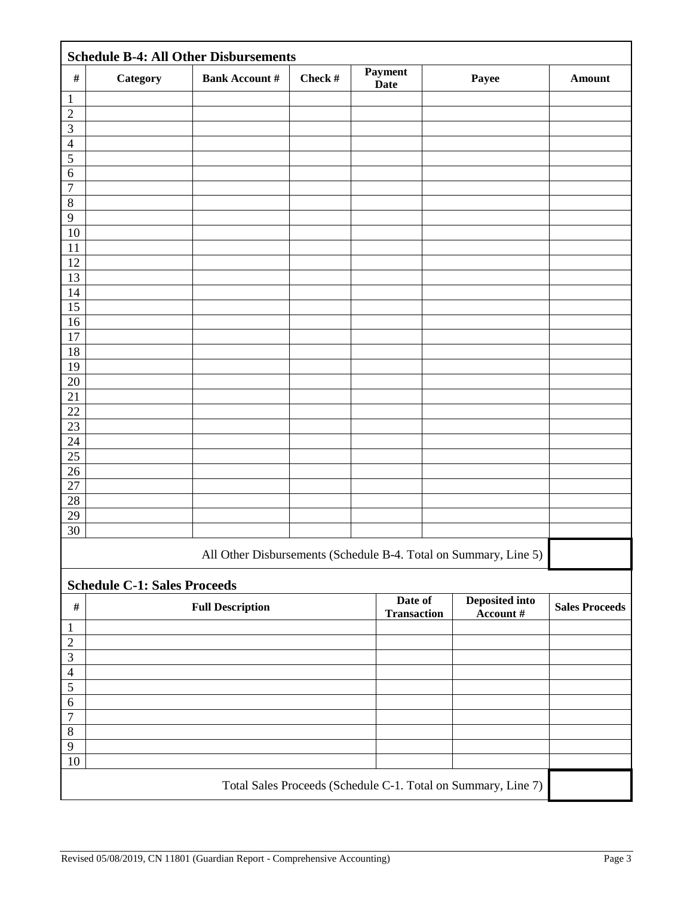| <b>Schedule B-4: All Other Disbursements</b>                  |                                     |                         |         |                        |                               |                                                                  |                       |
|---------------------------------------------------------------|-------------------------------------|-------------------------|---------|------------------------|-------------------------------|------------------------------------------------------------------|-----------------------|
| $\#$                                                          | Category                            | <b>Bank Account #</b>   | Check # | Payment<br><b>Date</b> |                               | Payee                                                            | <b>Amount</b>         |
| $\mathbf{1}$                                                  |                                     |                         |         |                        |                               |                                                                  |                       |
| $\overline{2}$                                                |                                     |                         |         |                        |                               |                                                                  |                       |
| 3                                                             |                                     |                         |         |                        |                               |                                                                  |                       |
| $\overline{4}$                                                |                                     |                         |         |                        |                               |                                                                  |                       |
| 5                                                             |                                     |                         |         |                        |                               |                                                                  |                       |
| $\sqrt{6}$                                                    |                                     |                         |         |                        |                               |                                                                  |                       |
| $\overline{7}$                                                |                                     |                         |         |                        |                               |                                                                  |                       |
| $\,8\,$                                                       |                                     |                         |         |                        |                               |                                                                  |                       |
| 9                                                             |                                     |                         |         |                        |                               |                                                                  |                       |
| 10                                                            |                                     |                         |         |                        |                               |                                                                  |                       |
| 11                                                            |                                     |                         |         |                        |                               |                                                                  |                       |
| 12                                                            |                                     |                         |         |                        |                               |                                                                  |                       |
| 13                                                            |                                     |                         |         |                        |                               |                                                                  |                       |
| 14                                                            |                                     |                         |         |                        |                               |                                                                  |                       |
| $\overline{15}$                                               |                                     |                         |         |                        |                               |                                                                  |                       |
| 16<br>17                                                      |                                     |                         |         |                        |                               |                                                                  |                       |
| 18                                                            |                                     |                         |         |                        |                               |                                                                  |                       |
| 19                                                            |                                     |                         |         |                        |                               |                                                                  |                       |
| 20                                                            |                                     |                         |         |                        |                               |                                                                  |                       |
| $21\,$                                                        |                                     |                         |         |                        |                               |                                                                  |                       |
| 22                                                            |                                     |                         |         |                        |                               |                                                                  |                       |
| 23                                                            |                                     |                         |         |                        |                               |                                                                  |                       |
| 24                                                            |                                     |                         |         |                        |                               |                                                                  |                       |
| $25\,$                                                        |                                     |                         |         |                        |                               |                                                                  |                       |
| $\overline{26}$                                               |                                     |                         |         |                        |                               |                                                                  |                       |
| 27                                                            |                                     |                         |         |                        |                               |                                                                  |                       |
| $\overline{28}$                                               |                                     |                         |         |                        |                               |                                                                  |                       |
| 29                                                            |                                     |                         |         |                        |                               |                                                                  |                       |
| 30                                                            |                                     |                         |         |                        |                               |                                                                  |                       |
|                                                               |                                     |                         |         |                        |                               | All Other Disbursements (Schedule B-4. Total on Summary, Line 5) |                       |
|                                                               | <b>Schedule C-1: Sales Proceeds</b> |                         |         |                        |                               |                                                                  |                       |
| $\#$                                                          |                                     | <b>Full Description</b> |         |                        | Date of<br><b>Transaction</b> | Deposited into<br>Account #                                      | <b>Sales Proceeds</b> |
| $\mathbf{1}$                                                  |                                     |                         |         |                        |                               |                                                                  |                       |
| $\overline{2}$                                                |                                     |                         |         |                        |                               |                                                                  |                       |
| $\mathfrak{Z}$                                                |                                     |                         |         |                        |                               |                                                                  |                       |
| $\overline{4}$                                                |                                     |                         |         |                        |                               |                                                                  |                       |
| $\sqrt{5}$                                                    |                                     |                         |         |                        |                               |                                                                  |                       |
| $\sqrt{6}$                                                    |                                     |                         |         |                        |                               |                                                                  |                       |
| $\overline{7}$                                                |                                     |                         |         |                        |                               |                                                                  |                       |
| $\,8\,$                                                       |                                     |                         |         |                        |                               |                                                                  |                       |
| 9                                                             |                                     |                         |         |                        |                               |                                                                  |                       |
| 10                                                            |                                     |                         |         |                        |                               |                                                                  |                       |
| Total Sales Proceeds (Schedule C-1. Total on Summary, Line 7) |                                     |                         |         |                        |                               |                                                                  |                       |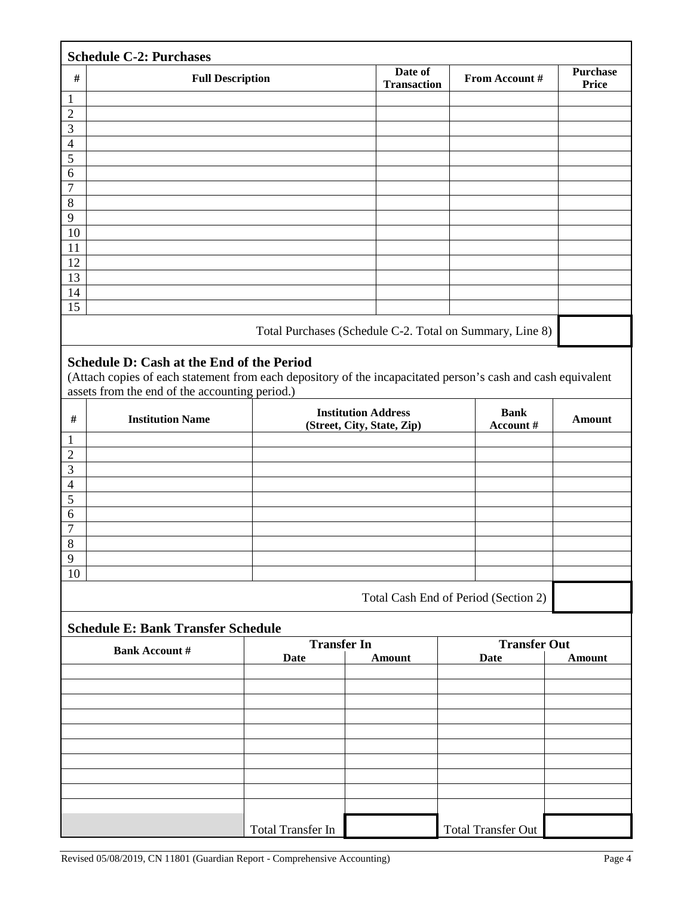| <b>Schedule C-2: Purchases</b> |                                                          |                               |                |                                 |  |  |  |  |
|--------------------------------|----------------------------------------------------------|-------------------------------|----------------|---------------------------------|--|--|--|--|
| $\#$                           | <b>Full Description</b>                                  | Date of<br><b>Transaction</b> | From Account # | <b>Purchase</b><br><b>Price</b> |  |  |  |  |
| $\mathbf{1}$                   |                                                          |                               |                |                                 |  |  |  |  |
| $\overline{2}$                 |                                                          |                               |                |                                 |  |  |  |  |
| 3                              |                                                          |                               |                |                                 |  |  |  |  |
| $\overline{4}$                 |                                                          |                               |                |                                 |  |  |  |  |
| $\mathfrak{S}$                 |                                                          |                               |                |                                 |  |  |  |  |
| 6                              |                                                          |                               |                |                                 |  |  |  |  |
| $\overline{7}$                 |                                                          |                               |                |                                 |  |  |  |  |
| 8                              |                                                          |                               |                |                                 |  |  |  |  |
| $\overline{9}$                 |                                                          |                               |                |                                 |  |  |  |  |
| 10                             |                                                          |                               |                |                                 |  |  |  |  |
| 11                             |                                                          |                               |                |                                 |  |  |  |  |
| 12                             |                                                          |                               |                |                                 |  |  |  |  |
| 13                             |                                                          |                               |                |                                 |  |  |  |  |
| 14                             |                                                          |                               |                |                                 |  |  |  |  |
| 15                             |                                                          |                               |                |                                 |  |  |  |  |
|                                | Total Purchases (Schedule C-2. Total on Summary, Line 8) |                               |                |                                 |  |  |  |  |

#### **Schedule D: Cash at the End of the Period**

(Attach copies of each statement from each depository of the incapacitated person's cash and cash equivalent assets from the end of the accounting period.)

| $\#$           | <b>Institution Name</b> | <b>Institution Address</b><br>(Street, City, State, Zip) | <b>Bank</b><br>Account # | <b>Amount</b> |
|----------------|-------------------------|----------------------------------------------------------|--------------------------|---------------|
|                |                         |                                                          |                          |               |
| $\overline{2}$ |                         |                                                          |                          |               |
| 3              |                         |                                                          |                          |               |
| $\overline{4}$ |                         |                                                          |                          |               |
| 5              |                         |                                                          |                          |               |
| 6              |                         |                                                          |                          |               |
| $\mathcal{I}$  |                         |                                                          |                          |               |
| 8              |                         |                                                          |                          |               |
| 9              |                         |                                                          |                          |               |
| 10             |                         |                                                          |                          |               |
|                |                         |                                                          |                          |               |

Total Cash End of Period (Section 2)

## **Schedule E: Bank Transfer Schedule**

| <b>Bank Account #</b> | <b>Transfer In</b> |        | <b>Transfer Out</b> |        |  |
|-----------------------|--------------------|--------|---------------------|--------|--|
|                       | Date               | Amount | <b>Date</b>         | Amount |  |
|                       |                    |        |                     |        |  |
|                       |                    |        |                     |        |  |
|                       |                    |        |                     |        |  |
|                       |                    |        |                     |        |  |
|                       |                    |        |                     |        |  |
|                       |                    |        |                     |        |  |
|                       |                    |        |                     |        |  |
|                       |                    |        |                     |        |  |
|                       |                    |        |                     |        |  |
|                       |                    |        |                     |        |  |
|                       | Total Transfer In  |        | Total Transfer Out  |        |  |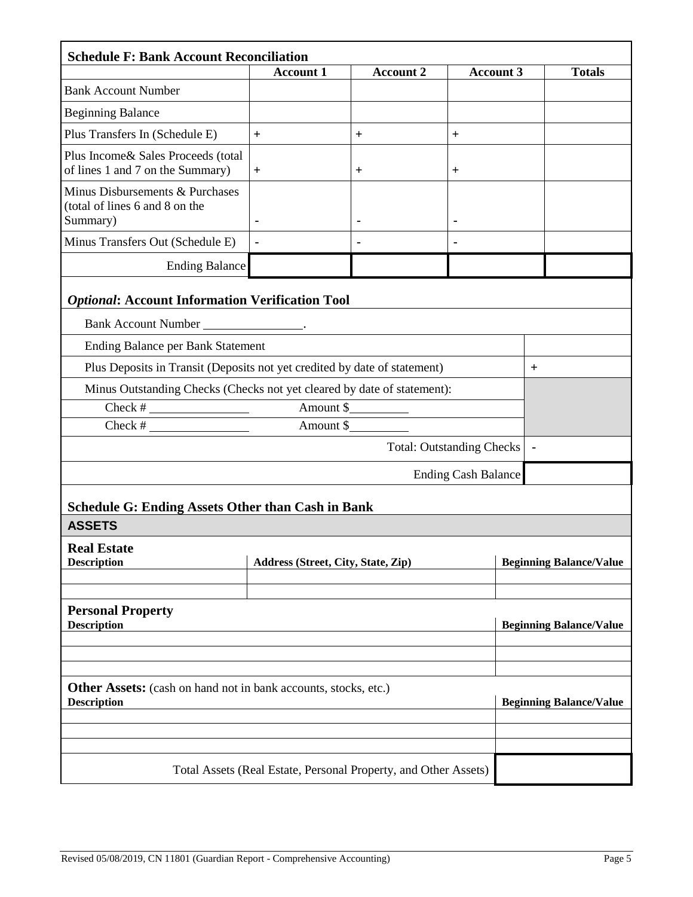| <b>Schedule F: Bank Account Reconciliation</b>                                               |                                                                 |                  |                  |                                |                                |  |
|----------------------------------------------------------------------------------------------|-----------------------------------------------------------------|------------------|------------------|--------------------------------|--------------------------------|--|
|                                                                                              | <b>Account 1</b>                                                | <b>Account 2</b> | <b>Account 3</b> |                                | <b>Totals</b>                  |  |
| <b>Bank Account Number</b>                                                                   |                                                                 |                  |                  |                                |                                |  |
| <b>Beginning Balance</b>                                                                     |                                                                 |                  |                  |                                |                                |  |
| Plus Transfers In (Schedule E)                                                               | $+$                                                             | $\ddot{}$        | $\ddot{}$        |                                |                                |  |
| Plus Income& Sales Proceeds (total<br>of lines 1 and 7 on the Summary)                       | $+$                                                             | $\pm$            | $^{+}$           |                                |                                |  |
| Minus Disbursements & Purchases<br>(total of lines 6 and 8 on the<br>Summary)                | $\blacksquare$                                                  |                  | $\blacksquare$   |                                |                                |  |
| Minus Transfers Out (Schedule E)                                                             |                                                                 |                  |                  |                                |                                |  |
| <b>Ending Balance</b>                                                                        |                                                                 |                  |                  |                                |                                |  |
| <b>Optional: Account Information Verification Tool</b>                                       |                                                                 |                  |                  |                                |                                |  |
| Bank Account Number ____________________.                                                    |                                                                 |                  |                  |                                |                                |  |
| <b>Ending Balance per Bank Statement</b>                                                     |                                                                 |                  |                  |                                |                                |  |
| Plus Deposits in Transit (Deposits not yet credited by date of statement)<br>$^{+}$          |                                                                 |                  |                  |                                |                                |  |
| Minus Outstanding Checks (Checks not yet cleared by date of statement):                      |                                                                 |                  |                  |                                |                                |  |
| Amount \$<br>$\overline{\text{Check}}$ #                                                     |                                                                 |                  |                  |                                |                                |  |
| Check #                                                                                      | Amount \$                                                       |                  |                  |                                |                                |  |
| <b>Total: Outstanding Checks</b>                                                             |                                                                 |                  |                  |                                |                                |  |
| <b>Ending Cash Balance</b>                                                                   |                                                                 |                  |                  |                                |                                |  |
|                                                                                              |                                                                 |                  |                  |                                |                                |  |
| <b>Schedule G: Ending Assets Other than Cash in Bank</b><br><b>ASSETS</b>                    |                                                                 |                  |                  |                                |                                |  |
| <b>Real Estate</b><br><b>Description</b>                                                     | Address (Street, City, State, Zip)                              |                  |                  | <b>Beginning Balance/Value</b> |                                |  |
|                                                                                              |                                                                 |                  |                  |                                |                                |  |
| <b>Personal Property</b><br><b>Description</b>                                               |                                                                 |                  |                  | <b>Beginning Balance/Value</b> |                                |  |
|                                                                                              |                                                                 |                  |                  |                                |                                |  |
|                                                                                              |                                                                 |                  |                  |                                |                                |  |
| <b>Other Assets:</b> (cash on hand not in bank accounts, stocks, etc.)<br><b>Description</b> |                                                                 |                  |                  |                                | <b>Beginning Balance/Value</b> |  |
|                                                                                              |                                                                 |                  |                  |                                |                                |  |
|                                                                                              |                                                                 |                  |                  |                                |                                |  |
|                                                                                              | Total Assets (Real Estate, Personal Property, and Other Assets) |                  |                  |                                |                                |  |